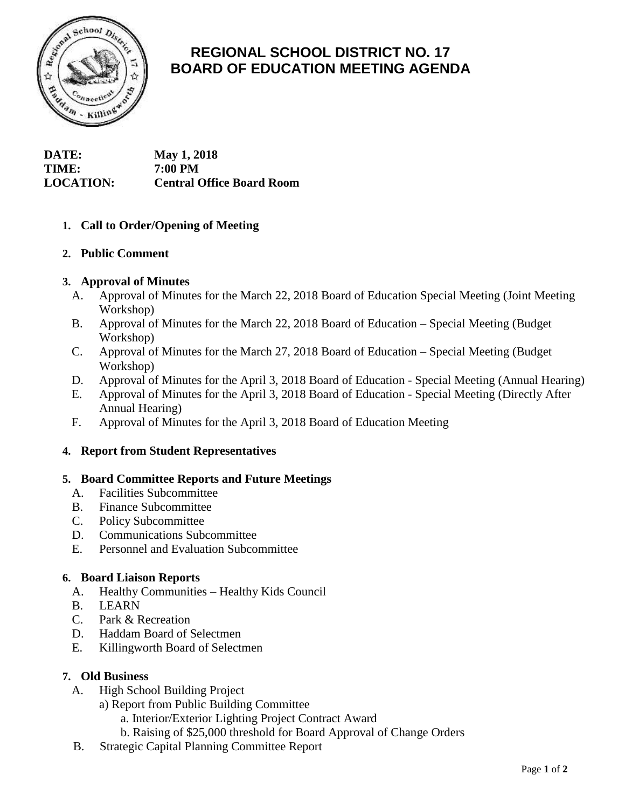

# **REGIONAL SCHOOL DISTRICT NO. 17 BOARD OF EDUCATION MEETING AGENDA**

**DATE: May 1, 2018 TIME: 7:00 PM LOCATION: Central Office Board Room**

## **1. Call to Order/Opening of Meeting**

## **2. Public Comment**

## **3. Approval of Minutes**

- A. Approval of Minutes for the March 22, 2018 Board of Education Special Meeting (Joint Meeting Workshop)
- B. Approval of Minutes for the March 22, 2018 Board of Education Special Meeting (Budget Workshop)
- C. Approval of Minutes for the March 27, 2018 Board of Education Special Meeting (Budget Workshop)
- D. Approval of Minutes for the April 3, 2018 Board of Education Special Meeting (Annual Hearing)
- E. Approval of Minutes for the April 3, 2018 Board of Education Special Meeting (Directly After Annual Hearing)
- F. Approval of Minutes for the April 3, 2018 Board of Education Meeting

## **4. Report from Student Representatives**

#### **5. Board Committee Reports and Future Meetings**

- A. Facilities Subcommittee
- B. Finance Subcommittee
- C. Policy Subcommittee
- D. Communications Subcommittee
- E. Personnel and Evaluation Subcommittee

#### **6. Board Liaison Reports**

- A. Healthy Communities Healthy Kids Council
- B. LEARN
- C. Park & Recreation
- D. Haddam Board of Selectmen
- E. Killingworth Board of Selectmen

#### **7. Old Business**

- A. High School Building Project
	- a) Report from Public Building Committee
		- a. Interior/Exterior Lighting Project Contract Award
		- b. Raising of \$25,000 threshold for Board Approval of Change Orders
- B. Strategic Capital Planning Committee Report